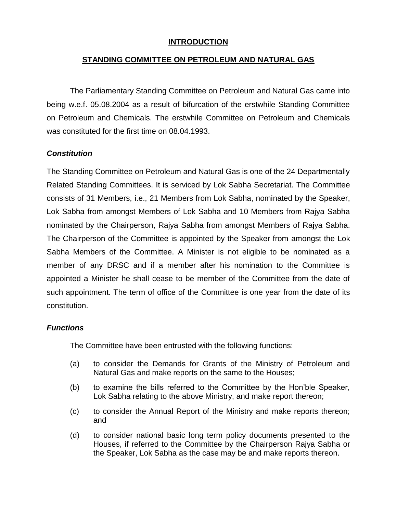### **INTRODUCTION**

# **STANDING COMMITTEE ON PETROLEUM AND NATURAL GAS**

The Parliamentary Standing Committee on Petroleum and Natural Gas came into being w.e.f. 05.08.2004 as a result of bifurcation of the erstwhile Standing Committee on Petroleum and Chemicals. The erstwhile Committee on Petroleum and Chemicals was constituted for the first time on 08.04.1993.

## *Constitution*

The Standing Committee on Petroleum and Natural Gas is one of the 24 Departmentally Related Standing Committees. It is serviced by Lok Sabha Secretariat. The Committee consists of 31 Members, i.e., 21 Members from Lok Sabha, nominated by the Speaker, Lok Sabha from amongst Members of Lok Sabha and 10 Members from Rajya Sabha nominated by the Chairperson, Rajya Sabha from amongst Members of Rajya Sabha. The Chairperson of the Committee is appointed by the Speaker from amongst the Lok Sabha Members of the Committee. A Minister is not eligible to be nominated as a member of any DRSC and if a member after his nomination to the Committee is appointed a Minister he shall cease to be member of the Committee from the date of such appointment. The term of office of the Committee is one year from the date of its constitution.

#### *Functions*

The Committee have been entrusted with the following functions:

- (a) to consider the Demands for Grants of the Ministry of Petroleum and Natural Gas and make reports on the same to the Houses;
- (b) to examine the bills referred to the Committee by the Hon'ble Speaker, Lok Sabha relating to the above Ministry, and make report thereon;
- (c) to consider the Annual Report of the Ministry and make reports thereon; and
- (d) to consider national basic long term policy documents presented to the Houses, if referred to the Committee by the Chairperson Rajya Sabha or the Speaker, Lok Sabha as the case may be and make reports thereon.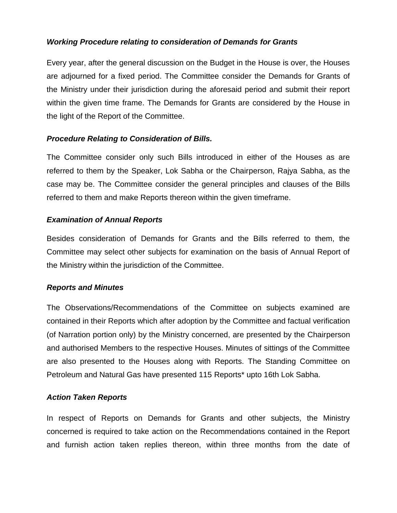# *Working Procedure relating to consideration of Demands for Grants*

Every year, after the general discussion on the Budget in the House is over, the Houses are adjourned for a fixed period. The Committee consider the Demands for Grants of the Ministry under their jurisdiction during the aforesaid period and submit their report within the given time frame. The Demands for Grants are considered by the House in the light of the Report of the Committee.

## *Procedure Relating to Consideration of Bills.*

The Committee consider only such Bills introduced in either of the Houses as are referred to them by the Speaker, Lok Sabha or the Chairperson, Rajya Sabha, as the case may be. The Committee consider the general principles and clauses of the Bills referred to them and make Reports thereon within the given timeframe.

#### *Examination of Annual Reports*

Besides consideration of Demands for Grants and the Bills referred to them, the Committee may select other subjects for examination on the basis of Annual Report of the Ministry within the jurisdiction of the Committee.

#### *Reports and Minutes*

The Observations/Recommendations of the Committee on subjects examined are contained in their Reports which after adoption by the Committee and factual verification (of Narration portion only) by the Ministry concerned, are presented by the Chairperson and authorised Members to the respective Houses. Minutes of sittings of the Committee are also presented to the Houses along with Reports. The Standing Committee on Petroleum and Natural Gas have presented 115 Reports\* upto 16th Lok Sabha.

#### *Action Taken Reports*

In respect of Reports on Demands for Grants and other subjects, the Ministry concerned is required to take action on the Recommendations contained in the Report and furnish action taken replies thereon, within three months from the date of